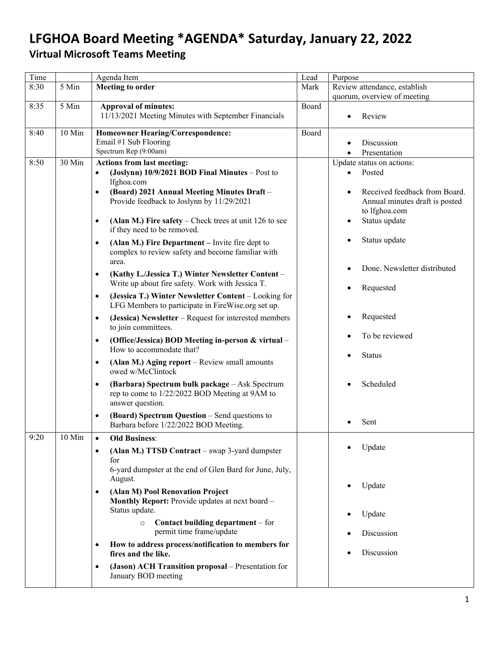## **LFGHOA Board Meeting \*AGENDA\* Saturday, January 22, 2022**

## **Virtual Microsoft Teams Meeting**

| Time |          | Agenda Item                                                                                        | Lead  | Purpose                        |
|------|----------|----------------------------------------------------------------------------------------------------|-------|--------------------------------|
| 8:30 | 5 Min    | <b>Meeting to order</b>                                                                            | Mark  | Review attendance, establish   |
|      |          |                                                                                                    |       | quorum, overview of meeting    |
| 8:35 | 5 Min    | <b>Approval of minutes:</b>                                                                        | Board |                                |
|      |          | 11/13/2021 Meeting Minutes with September Financials                                               |       | Review                         |
|      |          |                                                                                                    |       |                                |
| 8:40 | $10$ Min | <b>Homeowner Hearing/Correspondence:</b>                                                           | Board |                                |
|      |          | Email #1 Sub Flooring<br>Spectrum Rep (9:00am)                                                     |       | Discussion                     |
|      |          |                                                                                                    |       | Presentation<br>$\bullet$      |
| 8:50 | 30 Min   | Actions from last meeting:                                                                         |       | Update status on actions:      |
|      |          | (Joslynn) 10/9/2021 BOD Final Minutes - Post to<br>$\bullet$                                       |       | Posted                         |
|      |          | lfghoa.com                                                                                         |       |                                |
|      |          | (Board) 2021 Annual Meeting Minutes Draft -<br>$\bullet$                                           |       | Received feedback from Board.  |
|      |          | Provide feedback to Joslynn by 11/29/2021                                                          |       | Annual minutes draft is posted |
|      |          |                                                                                                    |       | to lfghoa.com                  |
|      |          | (Alan M.) Fire safety – Check trees at unit 126 to see<br>$\bullet$<br>if they need to be removed. |       | Status update                  |
|      |          |                                                                                                    |       | Status update                  |
|      |          | (Alan M.) Fire Department – Invite fire dept to<br>$\bullet$                                       |       |                                |
|      |          | complex to review safety and become familiar with                                                  |       |                                |
|      |          | area.                                                                                              |       | Done. Newsletter distributed   |
|      |          | (Kathy L./Jessica T.) Winter Newsletter Content -<br>$\bullet$                                     |       |                                |
|      |          | Write up about fire safety. Work with Jessica T.                                                   |       | Requested                      |
|      |          | (Jessica T.) Winter Newsletter Content – Looking for<br>$\bullet$                                  |       |                                |
|      |          | LFG Members to participate in FireWise.org set up.                                                 |       |                                |
|      |          | (Jessica) Newsletter – Request for interested members<br>$\bullet$                                 |       | Requested                      |
|      |          | to join committees.                                                                                |       |                                |
|      |          |                                                                                                    |       | To be reviewed                 |
|      |          | (Office/Jessica) BOD Meeting in-person & virtual -<br>$\bullet$                                    |       |                                |
|      |          | How to accommodate that?                                                                           |       | <b>Status</b>                  |
|      |          | (Alan M.) Aging report - Review small amounts<br>$\bullet$                                         |       |                                |
|      |          | owed w/McClintock                                                                                  |       |                                |
|      |          | (Barbara) Spectrum bulk package - Ask Spectrum<br>$\bullet$                                        |       | Scheduled                      |
|      |          | rep to come to 1/22/2022 BOD Meeting at 9AM to                                                     |       |                                |
|      |          | answer question.                                                                                   |       |                                |
|      |          | (Board) Spectrum Question - Send questions to<br>$\bullet$                                         |       |                                |
|      |          | Barbara before 1/22/2022 BOD Meeting.                                                              |       | Sent                           |
| 9:20 | $10$ Min | <b>Old Business:</b>                                                                               |       |                                |
|      |          |                                                                                                    |       | Update                         |
|      |          | (Alan M.) TTSD Contract - swap 3-yard dumpster<br>$\bullet$                                        |       |                                |
|      |          | for                                                                                                |       |                                |
|      |          | 6-yard dumpster at the end of Glen Bard for June, July,<br>August.                                 |       |                                |
|      |          |                                                                                                    |       | Update                         |
|      |          | (Alan M) Pool Renovation Project<br>$\bullet$                                                      |       |                                |
|      |          | Monthly Report: Provide updates at next board -                                                    |       |                                |
|      |          | Status update.                                                                                     |       | Update                         |
|      |          | Contact building department – for<br>$\circ$                                                       |       |                                |
|      |          | permit time frame/update                                                                           |       | Discussion                     |
|      |          | How to address process/notification to members for<br>$\bullet$                                    |       |                                |
|      |          | fires and the like.                                                                                |       | Discussion                     |
|      |          | (Jason) ACH Transition proposal - Presentation for<br>$\bullet$                                    |       |                                |
|      |          | January BOD meeting                                                                                |       |                                |
|      |          |                                                                                                    |       |                                |